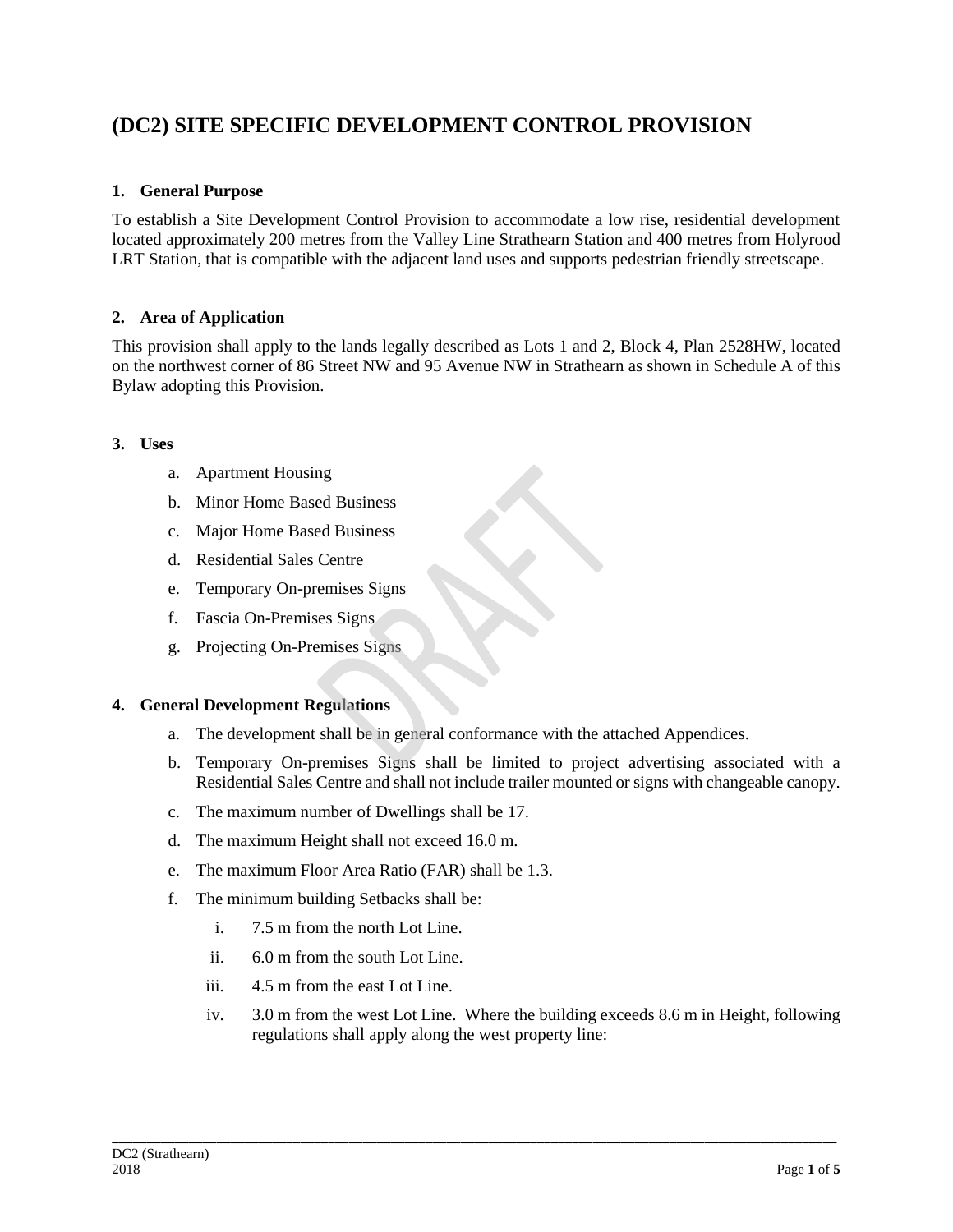# **(DC2) SITE SPECIFIC DEVELOPMENT CONTROL PROVISION**

# **1. General Purpose**

To establish a Site Development Control Provision to accommodate a low rise, residential development located approximately 200 metres from the Valley Line Strathearn Station and 400 metres from Holyrood LRT Station, that is compatible with the adjacent land uses and supports pedestrian friendly streetscape.

# **2. Area of Application**

This provision shall apply to the lands legally described as Lots 1 and 2, Block 4, Plan 2528HW, located on the northwest corner of 86 Street NW and 95 Avenue NW in Strathearn as shown in Schedule A of this Bylaw adopting this Provision.

### **3. Uses**

- a. Apartment Housing
- b. Minor Home Based Business
- c. Major Home Based Business
- d. Residential Sales Centre
- e. Temporary On-premises Signs
- f. Fascia On-Premises Signs
- g. Projecting On-Premises Signs

#### **4. General Development Regulations**

- a. The development shall be in general conformance with the attached Appendices.
- b. Temporary On-premises Signs shall be limited to project advertising associated with a Residential Sales Centre and shall not include trailer mounted or signs with changeable canopy.
- c. The maximum number of Dwellings shall be 17.
- d. The maximum Height shall not exceed 16.0 m.
- e. The maximum Floor Area Ratio (FAR) shall be 1.3.
- f. The minimum building Setbacks shall be:
	- i. 7.5 m from the north Lot Line.
	- ii. 6.0 m from the south Lot Line.
	- iii. 4.5 m from the east Lot Line.
	- iv. 3.0 m from the west Lot Line. Where the building exceeds 8.6 m in Height, following regulations shall apply along the west property line: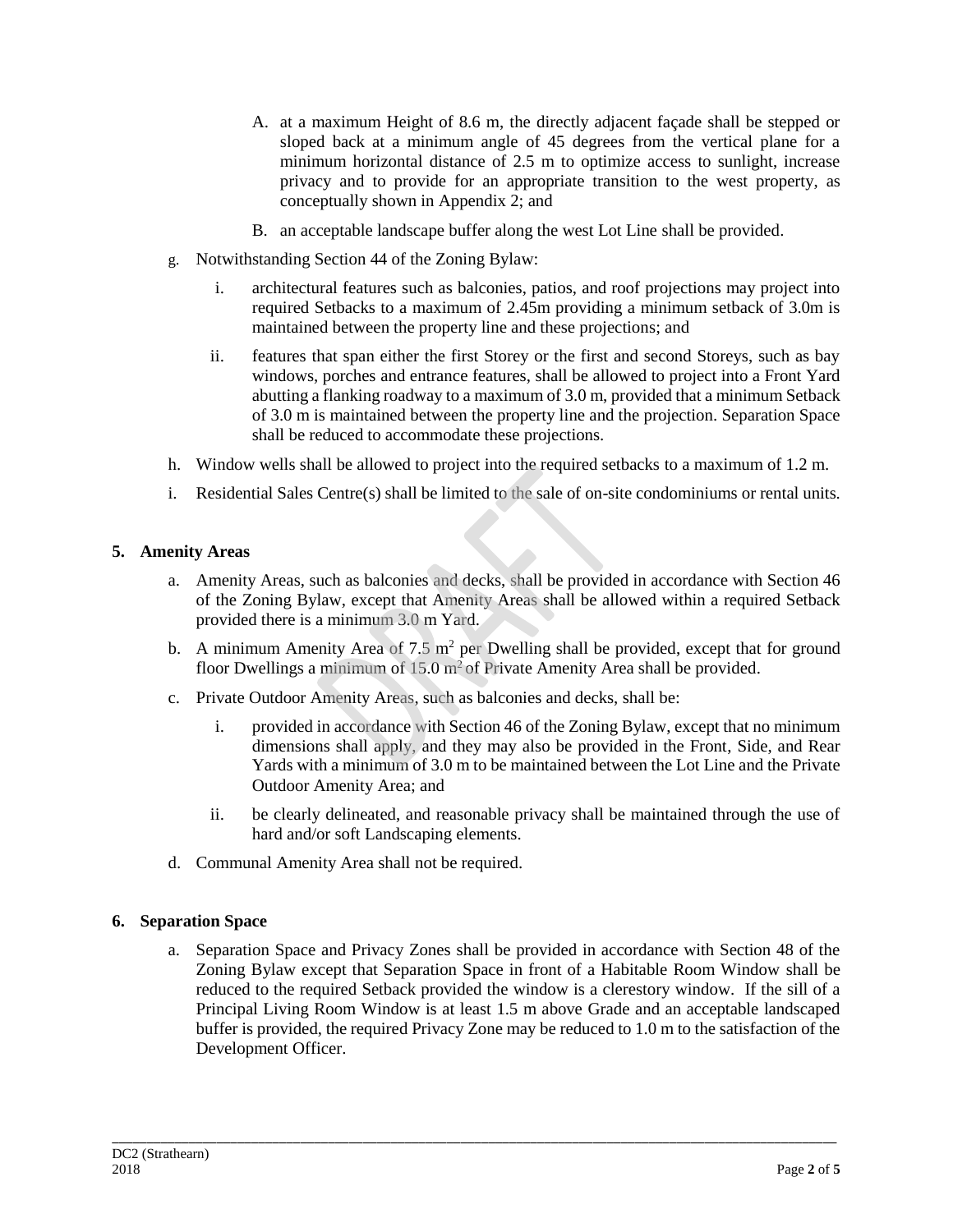- A. at a maximum Height of 8.6 m, the directly adjacent façade shall be stepped or sloped back at a minimum angle of 45 degrees from the vertical plane for a minimum horizontal distance of 2.5 m to optimize access to sunlight, increase privacy and to provide for an appropriate transition to the west property, as conceptually shown in Appendix 2; and
- B. an acceptable landscape buffer along the west Lot Line shall be provided.
- g. Notwithstanding Section 44 of the Zoning Bylaw:
	- i. architectural features such as balconies, patios, and roof projections may project into required Setbacks to a maximum of 2.45m providing a minimum setback of 3.0m is maintained between the property line and these projections; and
	- ii. features that span either the first Storey or the first and second Storeys, such as bay windows, porches and entrance features, shall be allowed to project into a Front Yard abutting a flanking roadway to a maximum of 3.0 m, provided that a minimum Setback of 3.0 m is maintained between the property line and the projection. Separation Space shall be reduced to accommodate these projections.
- h. Window wells shall be allowed to project into the required setbacks to a maximum of 1.2 m.
- i. Residential Sales Centre(s) shall be limited to the sale of on-site condominiums or rental units.

#### **5. Amenity Areas**

- a. Amenity Areas, such as balconies and decks, shall be provided in accordance with Section 46 of the Zoning Bylaw, except that Amenity Areas shall be allowed within a required Setback provided there is a minimum 3.0 m Yard.
- b. A minimum Amenity Area of  $7.5 \text{ m}^2$  per Dwelling shall be provided, except that for ground floor Dwellings a minimum of  $15.0 \text{ m}^2$  of Private Amenity Area shall be provided.
- c. Private Outdoor Amenity Areas, such as balconies and decks, shall be:
	- i. provided in accordance with Section 46 of the Zoning Bylaw, except that no minimum dimensions shall apply, and they may also be provided in the Front, Side, and Rear Yards with a minimum of 3.0 m to be maintained between the Lot Line and the Private Outdoor Amenity Area; and
	- ii. be clearly delineated, and reasonable privacy shall be maintained through the use of hard and/or soft Landscaping elements.
- d. Communal Amenity Area shall not be required.

# **6. Separation Space**

a. Separation Space and Privacy Zones shall be provided in accordance with Section 48 of the Zoning Bylaw except that Separation Space in front of a Habitable Room Window shall be reduced to the required Setback provided the window is a clerestory window. If the sill of a Principal Living Room Window is at least 1.5 m above Grade and an acceptable landscaped buffer is provided, the required Privacy Zone may be reduced to 1.0 m to the satisfaction of the Development Officer.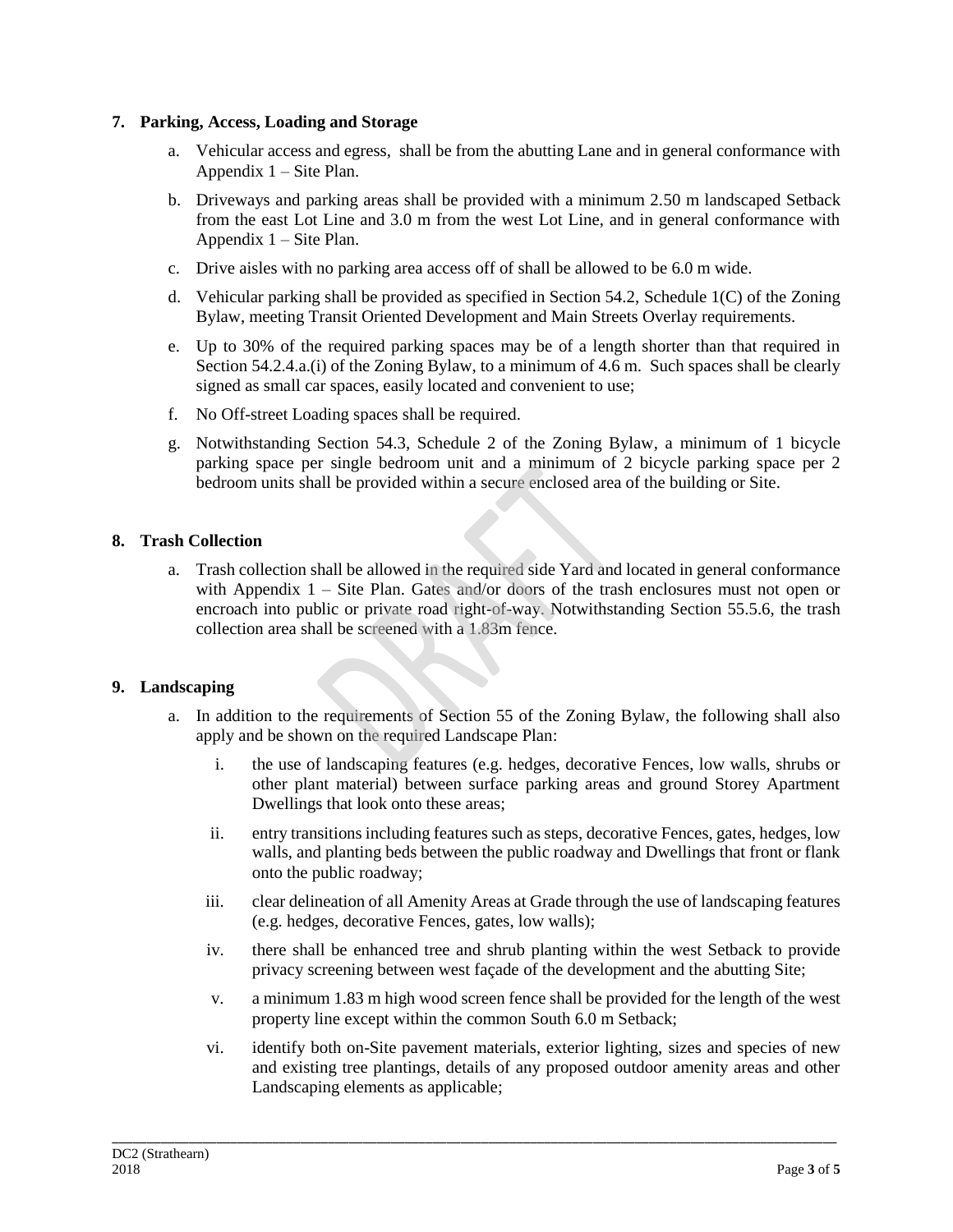### **7. Parking, Access, Loading and Storage**

- a. Vehicular access and egress, shall be from the abutting Lane and in general conformance with Appendix 1 – Site Plan.
- b. Driveways and parking areas shall be provided with a minimum 2.50 m landscaped Setback from the east Lot Line and 3.0 m from the west Lot Line, and in general conformance with Appendix 1 – Site Plan.
- c. Drive aisles with no parking area access off of shall be allowed to be 6.0 m wide.
- d. Vehicular parking shall be provided as specified in Section 54.2, Schedule 1(C) of the Zoning Bylaw, meeting Transit Oriented Development and Main Streets Overlay requirements.
- e. Up to 30% of the required parking spaces may be of a length shorter than that required in Section 54.2.4.a.(i) of the Zoning Bylaw, to a minimum of 4.6 m. Such spaces shall be clearly signed as small car spaces, easily located and convenient to use;
- f. No Off-street Loading spaces shall be required.
- g. Notwithstanding Section 54.3, Schedule 2 of the Zoning Bylaw, a minimum of 1 bicycle parking space per single bedroom unit and a minimum of 2 bicycle parking space per 2 bedroom units shall be provided within a secure enclosed area of the building or Site.

# **8. Trash Collection**

a. Trash collection shall be allowed in the required side Yard and located in general conformance with Appendix 1 – Site Plan. Gates and/or doors of the trash enclosures must not open or encroach into public or private road right-of-way. Notwithstanding Section 55.5.6, the trash collection area shall be screened with a 1.83m fence.

#### **9. Landscaping**

- a. In addition to the requirements of Section 55 of the Zoning Bylaw, the following shall also apply and be shown on the required Landscape Plan:
	- i. the use of landscaping features (e.g. hedges, decorative Fences, low walls, shrubs or other plant material) between surface parking areas and ground Storey Apartment Dwellings that look onto these areas;
	- ii. entry transitions including features such as steps, decorative Fences, gates, hedges, low walls, and planting beds between the public roadway and Dwellings that front or flank onto the public roadway;
	- iii. clear delineation of all Amenity Areas at Grade through the use of landscaping features (e.g. hedges, decorative Fences, gates, low walls);
	- iv. there shall be enhanced tree and shrub planting within the west Setback to provide privacy screening between west façade of the development and the abutting Site;
	- v. a minimum 1.83 m high wood screen fence shall be provided for the length of the west property line except within the common South 6.0 m Setback;
	- vi. identify both on-Site pavement materials, exterior lighting, sizes and species of new and existing tree plantings, details of any proposed outdoor amenity areas and other Landscaping elements as applicable;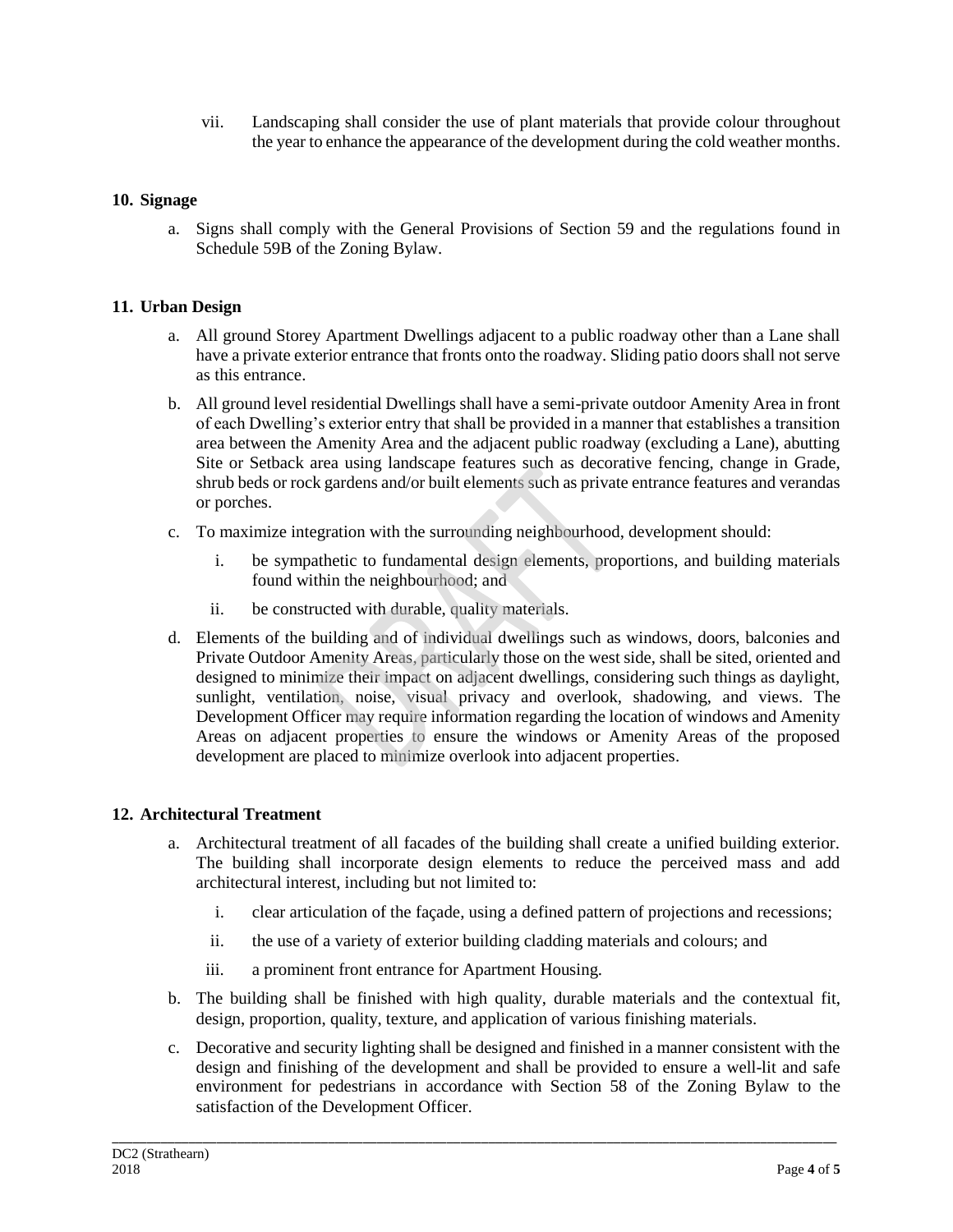vii. Landscaping shall consider the use of plant materials that provide colour throughout the year to enhance the appearance of the development during the cold weather months.

# **10. Signage**

a. Signs shall comply with the General Provisions of Section 59 and the regulations found in Schedule 59B of the Zoning Bylaw.

### **11. Urban Design**

- a. All ground Storey Apartment Dwellings adjacent to a public roadway other than a Lane shall have a private exterior entrance that fronts onto the roadway. Sliding patio doors shall not serve as this entrance.
- b. All ground level residential Dwellings shall have a semi-private outdoor Amenity Area in front of each Dwelling's exterior entry that shall be provided in a manner that establishes a transition area between the Amenity Area and the adjacent public roadway (excluding a Lane), abutting Site or Setback area using landscape features such as decorative fencing, change in Grade, shrub beds or rock gardens and/or built elements such as private entrance features and verandas or porches.
- c. To maximize integration with the surrounding neighbourhood, development should:
	- i. be sympathetic to fundamental design elements, proportions, and building materials found within the neighbourhood; and
	- ii. be constructed with durable, quality materials.
- d. Elements of the building and of individual dwellings such as windows, doors, balconies and Private Outdoor Amenity Areas, particularly those on the west side, shall be sited, oriented and designed to minimize their impact on adjacent dwellings, considering such things as daylight, sunlight, ventilation, noise, visual privacy and overlook, shadowing, and views. The Development Officer may require information regarding the location of windows and Amenity Areas on adjacent properties to ensure the windows or Amenity Areas of the proposed development are placed to minimize overlook into adjacent properties.

#### **12. Architectural Treatment**

- a. Architectural treatment of all facades of the building shall create a unified building exterior. The building shall incorporate design elements to reduce the perceived mass and add architectural interest, including but not limited to:
	- i. clear articulation of the façade, using a defined pattern of projections and recessions;
	- ii. the use of a variety of exterior building cladding materials and colours; and
	- iii. a prominent front entrance for Apartment Housing.
- b. The building shall be finished with high quality, durable materials and the contextual fit, design, proportion, quality, texture, and application of various finishing materials.
- c. Decorative and security lighting shall be designed and finished in a manner consistent with the design and finishing of the development and shall be provided to ensure a well-lit and safe environment for pedestrians in accordance with Section 58 of the Zoning Bylaw to the satisfaction of the Development Officer.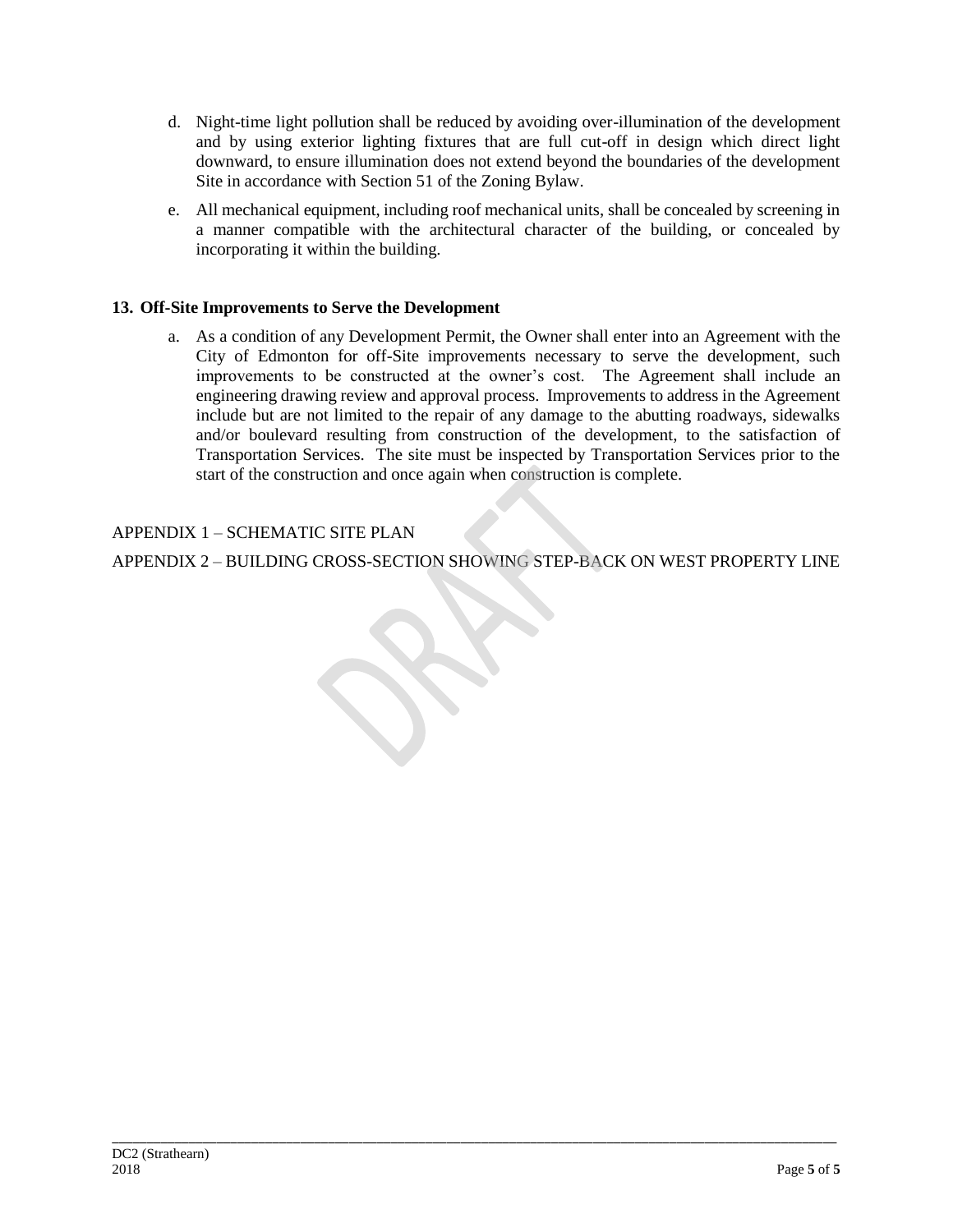- d. Night-time light pollution shall be reduced by avoiding over-illumination of the development and by using exterior lighting fixtures that are full cut-off in design which direct light downward, to ensure illumination does not extend beyond the boundaries of the development Site in accordance with Section 51 of the Zoning Bylaw.
- e. All mechanical equipment, including roof mechanical units, shall be concealed by screening in a manner compatible with the architectural character of the building, or concealed by incorporating it within the building.

# **13. Off-Site Improvements to Serve the Development**

a. As a condition of any Development Permit, the Owner shall enter into an Agreement with the City of Edmonton for off-Site improvements necessary to serve the development, such improvements to be constructed at the owner's cost. The Agreement shall include an engineering drawing review and approval process. Improvements to address in the Agreement include but are not limited to the repair of any damage to the abutting roadways, sidewalks and/or boulevard resulting from construction of the development, to the satisfaction of Transportation Services. The site must be inspected by Transportation Services prior to the start of the construction and once again when construction is complete.

# APPENDIX 1 – SCHEMATIC SITE PLAN

APPENDIX 2 – BUILDING CROSS-SECTION SHOWING STEP-BACK ON WEST PROPERTY LINE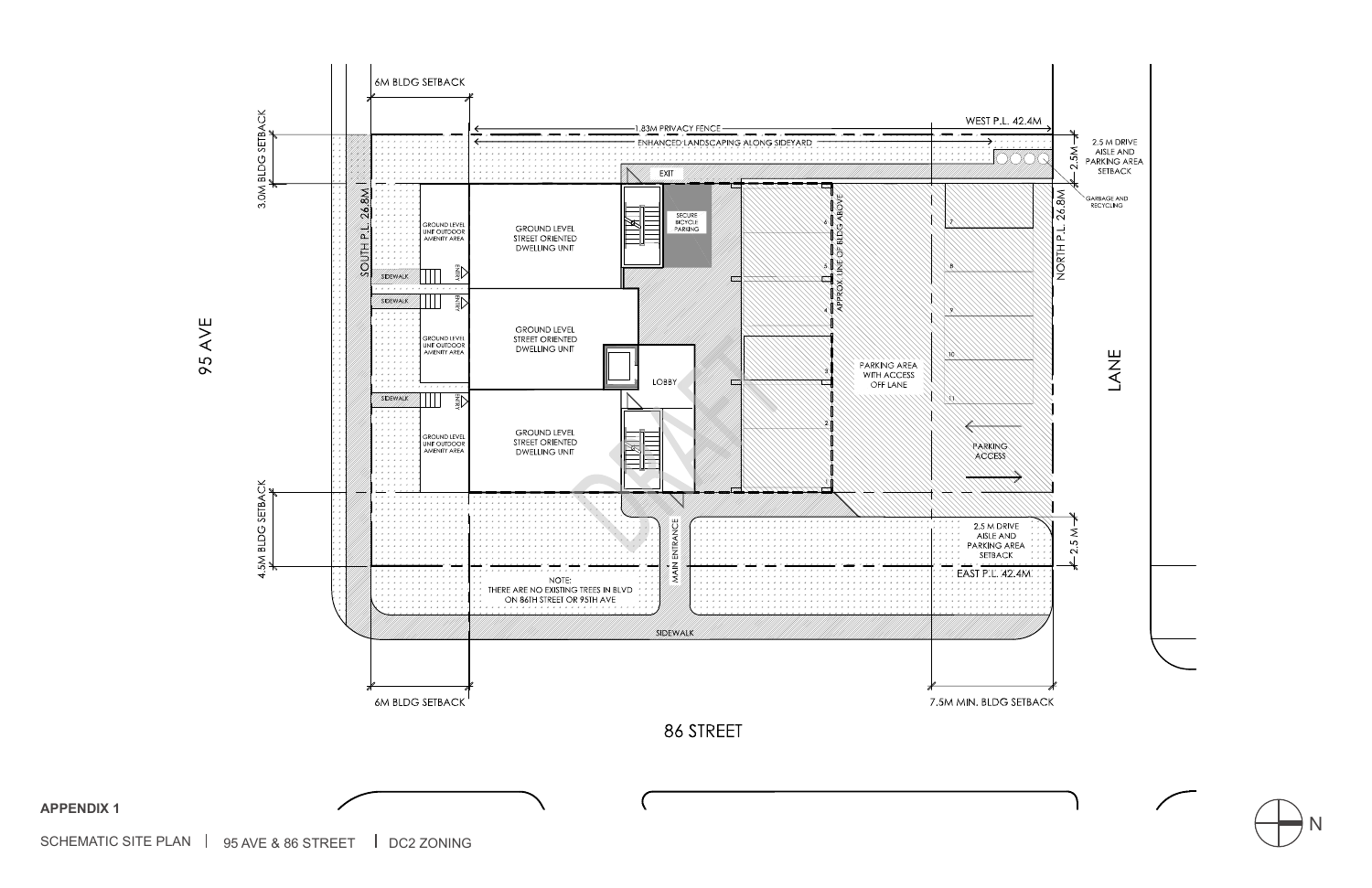

SCHEMATIC SITE PLAN  $\parallel$  95 AVE & 86 STREET  $\parallel$  DC2 ZONING

**APPENDIX 1**



 $\sqrt{2}$